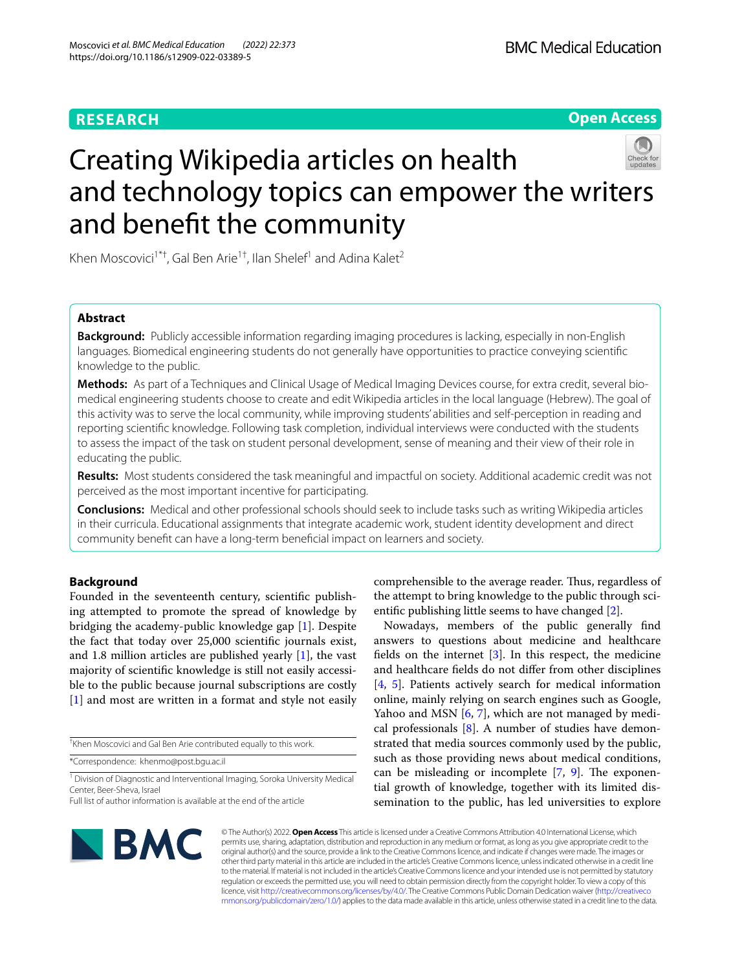# **RESEARCH**

**Open Access**

# Creating Wikipedia articles on health and technology topics can empower the writers and beneft the community

Khen Moscovici<sup>1\*†</sup>, Gal Ben Arie<sup>1†</sup>, Ilan Shelef<sup>1</sup> and Adina Kalet<sup>2</sup>

## **Abstract**

**Background:** Publicly accessible information regarding imaging procedures is lacking, especially in non-English languages. Biomedical engineering students do not generally have opportunities to practice conveying scientifc knowledge to the public.

**Methods:** As part of a Techniques and Clinical Usage of Medical Imaging Devices course, for extra credit, several biomedical engineering students choose to create and edit Wikipedia articles in the local language (Hebrew). The goal of this activity was to serve the local community, while improving students' abilities and self-perception in reading and reporting scientifc knowledge. Following task completion, individual interviews were conducted with the students to assess the impact of the task on student personal development, sense of meaning and their view of their role in educating the public.

**Results:** Most students considered the task meaningful and impactful on society. Additional academic credit was not perceived as the most important incentive for participating.

**Conclusions:** Medical and other professional schools should seek to include tasks such as writing Wikipedia articles in their curricula. Educational assignments that integrate academic work, student identity development and direct community beneft can have a long-term benefcial impact on learners and society.

## **Background**

Founded in the seventeenth century, scientifc publishing attempted to promote the spread of knowledge by bridging the academy-public knowledge gap [\[1\]](#page-3-0). Despite the fact that today over 25,000 scientifc journals exist, and 1.8 million articles are published yearly [[1\]](#page-3-0), the vast majority of scientifc knowledge is still not easily accessible to the public because journal subscriptions are costly [[1\]](#page-3-0) and most are written in a format and style not easily

† Khen Moscovici and Gal Ben Arie contributed equally to this work.

\*Correspondence: khenmo@post.bgu.ac.il

<sup>1</sup> Division of Diagnostic and Interventional Imaging, Soroka University Medical Center, Beer-Sheva, Israel

comprehensible to the average reader. Thus, regardless of the attempt to bring knowledge to the public through scientifc publishing little seems to have changed [\[2](#page-4-0)].

Nowadays, members of the public generally fnd answers to questions about medicine and healthcare fields on the internet  $[3]$  $[3]$ . In this respect, the medicine and healthcare felds do not difer from other disciplines [[4,](#page-4-2) [5](#page-4-3)]. Patients actively search for medical information online, mainly relying on search engines such as Google, Yahoo and MSN [[6,](#page-4-4) [7\]](#page-4-5), which are not managed by medical professionals [[8\]](#page-4-6). A number of studies have demonstrated that media sources commonly used by the public, such as those providing news about medical conditions, can be misleading or incomplete  $[7, 9]$  $[7, 9]$  $[7, 9]$  $[7, 9]$  $[7, 9]$ . The exponential growth of knowledge, together with its limited dissemination to the public, has led universities to explore



© The Author(s) 2022. **Open Access** This article is licensed under a Creative Commons Attribution 4.0 International License, which permits use, sharing, adaptation, distribution and reproduction in any medium or format, as long as you give appropriate credit to the original author(s) and the source, provide a link to the Creative Commons licence, and indicate if changes were made. The images or other third party material in this article are included in the article's Creative Commons licence, unless indicated otherwise in a credit line to the material. If material is not included in the article's Creative Commons licence and your intended use is not permitted by statutory regulation or exceeds the permitted use, you will need to obtain permission directly from the copyright holder. To view a copy of this licence, visit [http://creativecommons.org/licenses/by/4.0/.](http://creativecommons.org/licenses/by/4.0/) The Creative Commons Public Domain Dedication waiver ([http://creativeco](http://creativecommons.org/publicdomain/zero/1.0/) [mmons.org/publicdomain/zero/1.0/](http://creativecommons.org/publicdomain/zero/1.0/)) applies to the data made available in this article, unless otherwise stated in a credit line to the data.

Full list of author information is available at the end of the article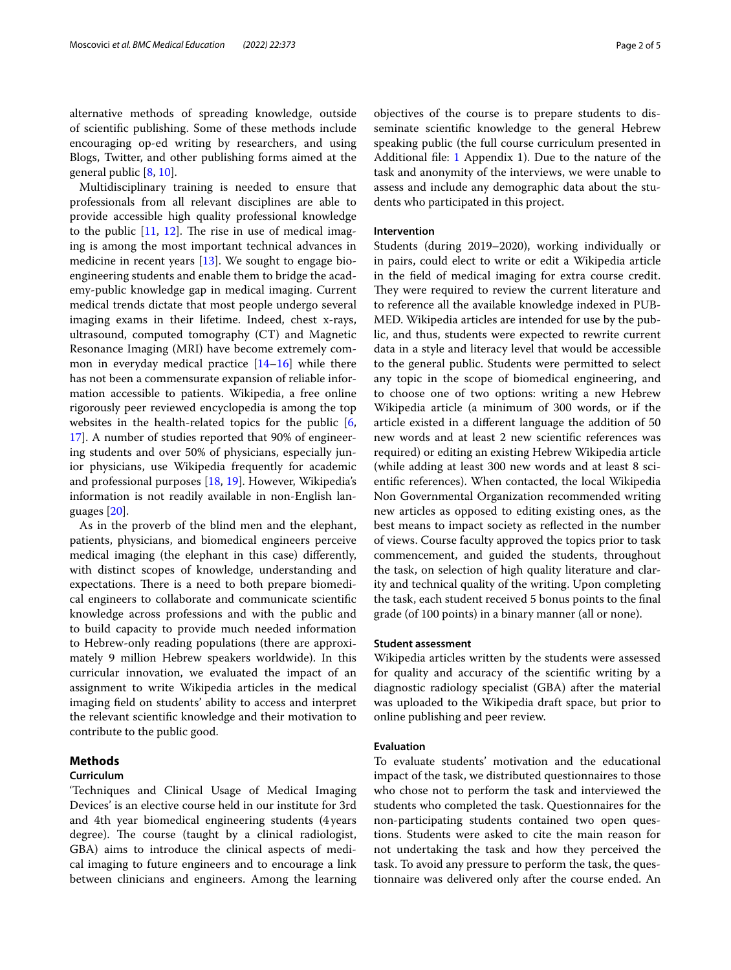alternative methods of spreading knowledge, outside of scientifc publishing. Some of these methods include encouraging op-ed writing by researchers, and using Blogs, Twitter, and other publishing forms aimed at the general public [[8,](#page-4-6) [10\]](#page-4-8).

Multidisciplinary training is needed to ensure that professionals from all relevant disciplines are able to provide accessible high quality professional knowledge to the public  $[11, 12]$  $[11, 12]$  $[11, 12]$  $[11, 12]$  $[11, 12]$ . The rise in use of medical imaging is among the most important technical advances in medicine in recent years [\[13\]](#page-4-11). We sought to engage bioengineering students and enable them to bridge the academy-public knowledge gap in medical imaging. Current medical trends dictate that most people undergo several imaging exams in their lifetime. Indeed, chest x-rays, ultrasound, computed tomography (CT) and Magnetic Resonance Imaging (MRI) have become extremely common in everyday medical practice  $[14-16]$  $[14-16]$  $[14-16]$  while there has not been a commensurate expansion of reliable information accessible to patients. Wikipedia, a free online rigorously peer reviewed encyclopedia is among the top websites in the health-related topics for the public [\[6](#page-4-4), [17\]](#page-4-14). A number of studies reported that 90% of engineering students and over 50% of physicians, especially junior physicians, use Wikipedia frequently for academic and professional purposes [[18,](#page-4-15) [19](#page-4-16)]. However, Wikipedia's information is not readily available in non-English languages [[20\]](#page-4-17).

As in the proverb of the blind men and the elephant, patients, physicians, and biomedical engineers perceive medical imaging (the elephant in this case) diferently, with distinct scopes of knowledge, understanding and expectations. There is a need to both prepare biomedical engineers to collaborate and communicate scientifc knowledge across professions and with the public and to build capacity to provide much needed information to Hebrew-only reading populations (there are approximately 9 million Hebrew speakers worldwide). In this curricular innovation, we evaluated the impact of an assignment to write Wikipedia articles in the medical imaging feld on students' ability to access and interpret the relevant scientifc knowledge and their motivation to contribute to the public good.

## **Methods**

## **Curriculum**

'Techniques and Clinical Usage of Medical Imaging Devices' is an elective course held in our institute for 3rd and 4th year biomedical engineering students (4 years degree). The course (taught by a clinical radiologist, GBA) aims to introduce the clinical aspects of medical imaging to future engineers and to encourage a link between clinicians and engineers. Among the learning

objectives of the course is to prepare students to disseminate scientifc knowledge to the general Hebrew speaking public (the full course curriculum presented in Additional fle: [1](#page-3-1) Appendix 1). Due to the nature of the task and anonymity of the interviews, we were unable to assess and include any demographic data about the students who participated in this project.

### **Intervention**

Students (during 2019–2020), working individually or in pairs, could elect to write or edit a Wikipedia article in the feld of medical imaging for extra course credit. They were required to review the current literature and to reference all the available knowledge indexed in PUB-MED. Wikipedia articles are intended for use by the public, and thus, students were expected to rewrite current data in a style and literacy level that would be accessible to the general public. Students were permitted to select any topic in the scope of biomedical engineering, and to choose one of two options: writing a new Hebrew Wikipedia article (a minimum of 300 words, or if the article existed in a diferent language the addition of 50 new words and at least 2 new scientifc references was required) or editing an existing Hebrew Wikipedia article (while adding at least 300 new words and at least 8 scientifc references). When contacted, the local Wikipedia Non Governmental Organization recommended writing new articles as opposed to editing existing ones, as the best means to impact society as refected in the number of views. Course faculty approved the topics prior to task commencement, and guided the students, throughout the task, on selection of high quality literature and clarity and technical quality of the writing. Upon completing the task, each student received 5 bonus points to the fnal grade (of 100 points) in a binary manner (all or none).

## **Student assessment**

Wikipedia articles written by the students were assessed for quality and accuracy of the scientifc writing by a diagnostic radiology specialist (GBA) after the material was uploaded to the Wikipedia draft space, but prior to online publishing and peer review.

## **Evaluation**

To evaluate students' motivation and the educational impact of the task, we distributed questionnaires to those who chose not to perform the task and interviewed the students who completed the task. Questionnaires for the non-participating students contained two open questions. Students were asked to cite the main reason for not undertaking the task and how they perceived the task. To avoid any pressure to perform the task, the questionnaire was delivered only after the course ended. An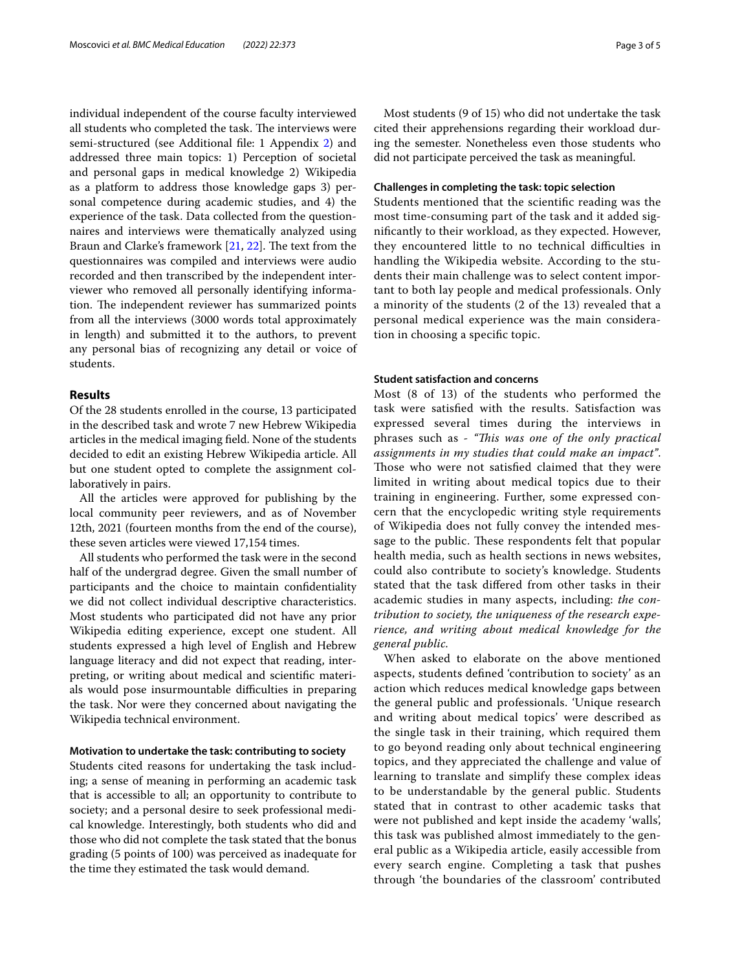individual independent of the course faculty interviewed all students who completed the task. The interviews were semi-structured (see Additional fle: 1 Appendix [2\)](#page-3-1) and addressed three main topics: 1) Perception of societal and personal gaps in medical knowledge 2) Wikipedia as a platform to address those knowledge gaps 3) personal competence during academic studies, and 4) the experience of the task. Data collected from the questionnaires and interviews were thematically analyzed using Braun and Clarke's framework [[21,](#page-4-18) [22](#page-4-19)]. The text from the questionnaires was compiled and interviews were audio recorded and then transcribed by the independent interviewer who removed all personally identifying information. The independent reviewer has summarized points from all the interviews (3000 words total approximately in length) and submitted it to the authors, to prevent any personal bias of recognizing any detail or voice of students.

## **Results**

Of the 28 students enrolled in the course, 13 participated in the described task and wrote 7 new Hebrew Wikipedia articles in the medical imaging feld. None of the students decided to edit an existing Hebrew Wikipedia article. All but one student opted to complete the assignment collaboratively in pairs.

All the articles were approved for publishing by the local community peer reviewers, and as of November 12th, 2021 (fourteen months from the end of the course), these seven articles were viewed 17,154 times.

All students who performed the task were in the second half of the undergrad degree. Given the small number of participants and the choice to maintain confdentiality we did not collect individual descriptive characteristics. Most students who participated did not have any prior Wikipedia editing experience, except one student. All students expressed a high level of English and Hebrew language literacy and did not expect that reading, interpreting, or writing about medical and scientifc materials would pose insurmountable difficulties in preparing the task. Nor were they concerned about navigating the Wikipedia technical environment.

#### **Motivation to undertake the task: contributing to society**

Students cited reasons for undertaking the task including; a sense of meaning in performing an academic task that is accessible to all; an opportunity to contribute to society; and a personal desire to seek professional medical knowledge. Interestingly, both students who did and those who did not complete the task stated that the bonus grading (5 points of 100) was perceived as inadequate for the time they estimated the task would demand.

Most students (9 of 15) who did not undertake the task cited their apprehensions regarding their workload during the semester. Nonetheless even those students who did not participate perceived the task as meaningful.

## **Challenges in completing the task: topic selection**

Students mentioned that the scientifc reading was the most time-consuming part of the task and it added signifcantly to their workload, as they expected. However, they encountered little to no technical difficulties in handling the Wikipedia website. According to the students their main challenge was to select content important to both lay people and medical professionals. Only a minority of the students (2 of the 13) revealed that a personal medical experience was the main consideration in choosing a specifc topic.

## **Student satisfaction and concerns**

Most (8 of 13) of the students who performed the task were satisfed with the results. Satisfaction was expressed several times during the interviews in phrases such as - *"Tis was one of the only practical assignments in my studies that could make an impact"*. Those who were not satisfied claimed that they were limited in writing about medical topics due to their training in engineering. Further, some expressed concern that the encyclopedic writing style requirements of Wikipedia does not fully convey the intended message to the public. These respondents felt that popular health media, such as health sections in news websites, could also contribute to society's knowledge. Students stated that the task difered from other tasks in their academic studies in many aspects, including: *the* c*ontribution to society, the uniqueness of the research experience, and writing about medical knowledge for the general public.*

When asked to elaborate on the above mentioned aspects, students defned 'contribution to society' as an action which reduces medical knowledge gaps between the general public and professionals. 'Unique research and writing about medical topics' were described as the single task in their training, which required them to go beyond reading only about technical engineering topics, and they appreciated the challenge and value of learning to translate and simplify these complex ideas to be understandable by the general public. Students stated that in contrast to other academic tasks that were not published and kept inside the academy 'walls', this task was published almost immediately to the general public as a Wikipedia article, easily accessible from every search engine. Completing a task that pushes through 'the boundaries of the classroom' contributed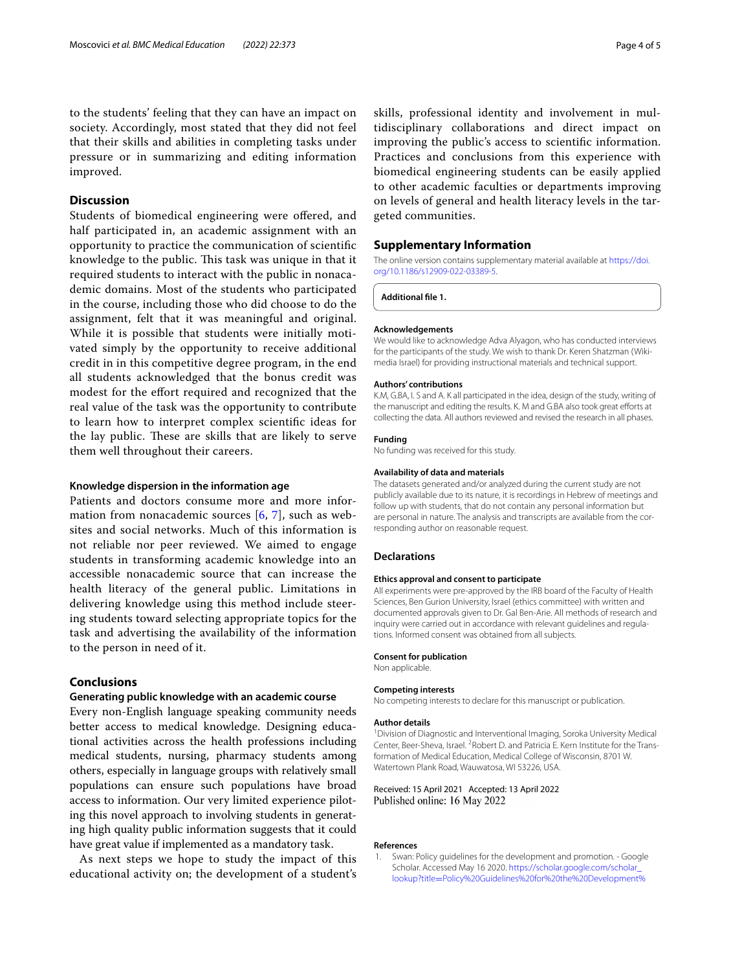to the students' feeling that they can have an impact on society. Accordingly, most stated that they did not feel that their skills and abilities in completing tasks under pressure or in summarizing and editing information improved.

## **Discussion**

Students of biomedical engineering were ofered, and half participated in, an academic assignment with an opportunity to practice the communication of scientifc knowledge to the public. This task was unique in that it required students to interact with the public in nonacademic domains. Most of the students who participated in the course, including those who did choose to do the assignment, felt that it was meaningful and original. While it is possible that students were initially motivated simply by the opportunity to receive additional credit in in this competitive degree program, in the end all students acknowledged that the bonus credit was modest for the efort required and recognized that the real value of the task was the opportunity to contribute to learn how to interpret complex scientifc ideas for the lay public. These are skills that are likely to serve them well throughout their careers.

## **Knowledge dispersion in the information age**

Patients and doctors consume more and more information from nonacademic sources [[6](#page-4-4), [7\]](#page-4-5), such as websites and social networks. Much of this information is not reliable nor peer reviewed. We aimed to engage students in transforming academic knowledge into an accessible nonacademic source that can increase the health literacy of the general public. Limitations in delivering knowledge using this method include steering students toward selecting appropriate topics for the task and advertising the availability of the information to the person in need of it.

## **Conclusions**

## **Generating public knowledge with an academic course**

Every non-English language speaking community needs better access to medical knowledge. Designing educational activities across the health professions including medical students, nursing, pharmacy students among others, especially in language groups with relatively small populations can ensure such populations have broad access to information. Our very limited experience piloting this novel approach to involving students in generating high quality public information suggests that it could have great value if implemented as a mandatory task.

As next steps we hope to study the impact of this educational activity on; the development of a student's

skills, professional identity and involvement in multidisciplinary collaborations and direct impact on improving the public's access to scientifc information. Practices and conclusions from this experience with biomedical engineering students can be easily applied to other academic faculties or departments improving on levels of general and health literacy levels in the targeted communities.

## **Supplementary Information**

The online version contains supplementary material available at [https://doi.](https://doi.org/10.1186/s12909-022-03389-5) [org/10.1186/s12909-022-03389-5](https://doi.org/10.1186/s12909-022-03389-5).

<span id="page-3-1"></span>**Additional fle 1.**

#### **Acknowledgements**

We would like to acknowledge Adva Alyagon, who has conducted interviews for the participants of the study. We wish to thank Dr. Keren Shatzman (Wikimedia Israel) for providing instructional materials and technical support.

#### **Authors' contributions**

K.M, G.BA, I. S and A. K all participated in the idea, design of the study, writing of the manuscript and editing the results. K. M and G.BA also took great efforts at collecting the data. All authors reviewed and revised the research in all phases.

#### **Funding**

No funding was received for this study.

#### **Availability of data and materials**

The datasets generated and/or analyzed during the current study are not publicly available due to its nature, it is recordings in Hebrew of meetings and follow up with students, that do not contain any personal information but are personal in nature. The analysis and transcripts are available from the corresponding author on reasonable request.

#### **Declarations**

#### **Ethics approval and consent to participate**

All experiments were pre-approved by the IRB board of the Faculty of Health Sciences, Ben Gurion University, Israel (ethics committee) with written and documented approvals given to Dr. Gal Ben-Arie. All methods of research and inquiry were carried out in accordance with relevant guidelines and regulations. Informed consent was obtained from all subjects.

#### **Consent for publication**

Non applicable.

#### **Competing interests**

No competing interests to declare for this manuscript or publication.

#### **Author details**

<sup>1</sup> Division of Diagnostic and Interventional Imaging, Soroka University Medical Center, Beer-Sheva, Israel. <sup>2</sup> Robert D. and Patricia E. Kern Institute for the Transformation of Medical Education, Medical College of Wisconsin, 8701 W. Watertown Plank Road, Wauwatosa, WI 53226, USA.

#### Received: 15 April 2021 Accepted: 13 April 2022 Published online: 16 May 2022

#### **References**

<span id="page-3-0"></span>1. Swan: Policy guidelines for the development and promotion. - Google Scholar. Accessed May 16 2020. [https://scholar.google.com/scholar\\_](https://scholar.google.com/scholar_lookup?title=Policy%20Guidelines%20for%20the%20Development%20and%20Promotion%20of%20Open%20Access&publication_year=2012&author=Swan%2CA) lookup?title=[Policy%20Guidelines%20for%20the%20Development%](https://scholar.google.com/scholar_lookup?title=Policy%20Guidelines%20for%20the%20Development%20and%20Promotion%20of%20Open%20Access&publication_year=2012&author=Swan%2CA)